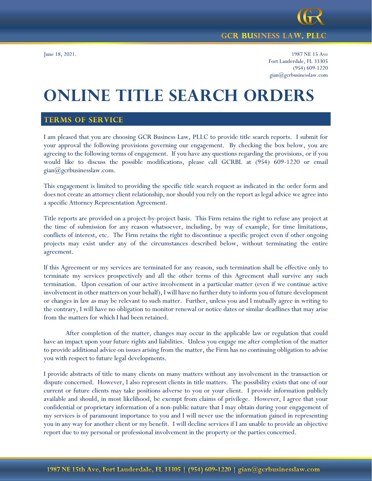

## **GCR BUSINESS LAW, PLLC**

June 18, 2021. 1987 NE 15 Ave Fort Lauderdale, FL 33305 (954) 609-1220 gian@gcrbusinesslaw.com

# **ONLINE TITLE SEARCH ORDERS**

# **TERMS OF SERVICE**

I am pleased that you are choosing GCR Business Law, PLLC to provide title search reports. I submit for your approval the following provisions governing our engagement. By checking the box below, you are agreeing to the following terms of engagement. If you have any questions regarding the provisions, or if you would like to discuss the possible modifications, please call GCRBL at (954) 609-1220 or email gian@gcrbusinesslaw.com.

This engagement is limited to providing the specific title search request as indicated in the order form and does not create an attorney client relationship, nor should you rely on the report as legal advice we agree into a specific Attorney Representation Agreement.

Title reports are provided on a project-by-project basis. This Firm retains the right to refuse any project at the time of submission for any reason whatsoever, including, by way of example, for time limitations, conflicts of interest, etc. The Firm retains the right to discontinue a specific project even if other ongoing projects may exist under any of the circumstances described below, without terminating the entire agreement.

If this Agreement or my services are terminated for any reason, such termination shall be effective only to terminate my services prospectively and all the other terms of this Agreement shall survive any such termination. Upon cessation of our active involvement in a particular matter (even if we continue active involvement in other matters on your behalf), I will have no further duty to inform you of future development or changes in law as may be relevant to such matter. Further, unless you and I mutually agree in writing to the contrary, I will have no obligation to monitor renewal or notice dates or similar deadlines that may arise from the matters for which I had been retained.

After completion of the matter, changes may occur in the applicable law or regulation that could have an impact upon your future rights and liabilities. Unless you engage me after completion of the matter to provide additional advice on issues arising from the matter, the Firm has no continuing obligation to advise you with respect to future legal developments.

I provide abstracts of title to many clients on many matters without any involvement in the transaction or dispute concerned. However, I also represent clients in title matters. The possibility exists that one of our current or future clients may take positions adverse to you or your client. I provide information publicly available and should, in most likelihood, be exempt from claims of privilege. However, I agree that your confidential or proprietary information of a non-public nature that I may obtain during your engagement of my services is of paramount importance to you and I will never use the information gained in representing you in any way for another client or my benefit. I will decline services if I am unable to provide an objective report due to my personal or professional involvement in the property or the parties concerned.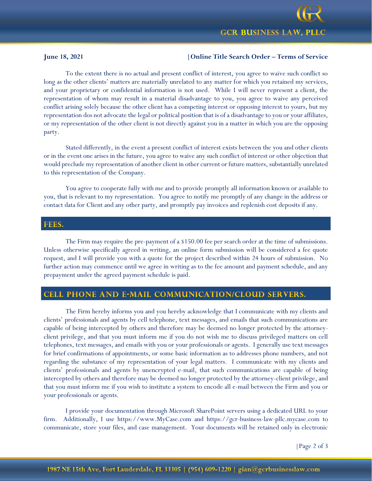

### **June 18, 2021 |Online Title Search Order – Terms of Service**

To the extent there is no actual and present conflict of interest, you agree to waive such conflict so long as the other clients' matters are materially unrelated to any matter for which you retained my services, and your proprietary or confidential information is not used. While I will never represent a client, the representation of whom may result in a material disadvantage to you, you agree to waive any perceived conflict arising solely because the other client has a competing interest or opposing interest to yours, but my representation dos not advocate the legal or political position that is of a disadvantage to you or your affiliates, or my representation of the other client is not directly against you in a matter in which you are the opposing party.

Stated differently, in the event a present conflict of interest exists between the you and other clients or in the event one arises in the future, you agree to waive any such conflict of interest or other objection that would preclude my representation of another client in other current or future matters, substantially unrelated to this representation of the Company.

You agree to cooperate fully with me and to provide promptly all information known or available to you, that is relevant to my representation. You agree to notify me promptly of any change in the address or contact data for Client and any other party, and promptly pay invoices and replenish cost deposits if any.

#### FEES.

The Firm may require the pre-payment of a \$150.00 fee per search order at the time of submissions. Unless otherwise specifically agreed in writing, an online form submission will be considered a fee quote request, and I will provide you with a quote for the project described within 24 hours of submission. No further action may commence until we agree in writing as to the fee amount and payment schedule, and any prepayment under the agreed payment schedule is paid.

# CELL PHONE AND E-MAIL COMMUNICATION/CLOUD SERVERS.

The Firm hereby informs you and you hereby acknowledge that I communicate with my clients and clients' professionals and agents by cell telephone, text messages, and emails that such communications are capable of being intercepted by others and therefore may be deemed no longer protected by the attorneyclient privilege, and that you must inform me if you do not wish me to discuss privileged matters on cell telephones, text messages, and emails with you or your professionals or agents. I generally use text messages for brief confirmations of appointments, or some basic information as to addresses phone numbers, and not regarding the substance of my representation of your legal matters. I communicate with my clients and clients' professionals and agents by unencrypted e-mail, that such communications are capable of being intercepted by others and therefore may be deemed no longer protected by the attorney-client privilege, and that you must inform me if you wish to institute a system to encode all e-mail between the Firm and you or your professionals or agents.

I provide your documentation through Microsoft SharePoint servers using a dedicated URL to your firm. Additionally, I use https://www.MyCase.com and https://gcr-business-law-pllc.mycase.com to communicate, store your files, and case management. Your documents will be retained only in electronic

|Page 2 of 3